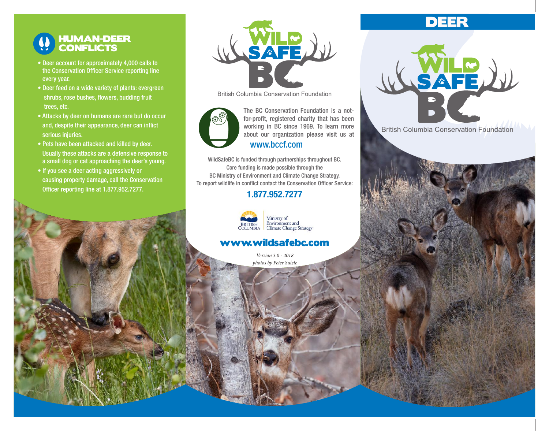### HUMAN-DEER **CONFLICTS**

- Deer account for approximately 4,000 calls to the Conservation Officer Service reporting line every year.
- Deer feed on a wide variety of plants: evergreen shrubs, rose bushes, flowers, budding fruit trees, etc.
- Attacks by deer on humans are rare but do occur and, despite their appearance, deer can inflict serious injuries.
- Pets have been attacked and killed by deer. Usually these attacks are a defensive response to a small dog or cat approaching the deer's young.
- If you see a deer acting aggressively or causing property damage, call the Conservation Officer reporting line at 1.877.952.7277.



**British Columbia Conservation Foundation** 



**British Collumbia** Columbia Columbia Columbia Columbia Columbia Columbia Columbia Columbia Columbia Columbia Columbia Columbia Columbia Columbia Columbia Columbia Columbia Columbia Columbia Columbia Columbia Columbia Colu about our organization please visit us at The BC Conservation Foundation is a notfor-profit, registered charity that has been www.bccf.com

WildSafeBC is funded through partnerships throughout BC. Core funding is made possible through the BC Ministry of Environment and Climate Change Strategy. To report wildlife in conflict contact the Conservation Officer Service:

#### 1.877.952.7277



#### www.wildsafebc.com

*Version 3.0 - 2018 photos by Peter Sulzle*

# DEER